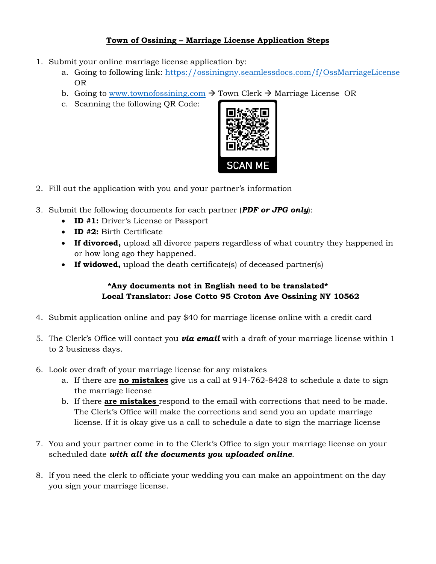## **Town of Ossining – Marriage License Application Steps**

- 1. Submit your online marriage license application by:
	- a. Going to following link:<https://ossiningny.seamlessdocs.com/f/OssMarriageLicense> OR
	- b. Going to [www.townofossining.com](http://www.townofossining.com/)  $\rightarrow$  Town Clerk  $\rightarrow$  Marriage License OR
	- c. Scanning the following QR Code:



- 2. Fill out the application with you and your partner's information
- 3. Submit the following documents for each partner (*PDF or JPG only*):
	- **ID #1:** Driver's License or Passport
	- **ID #2:** Birth Certificate
	- **If divorced,** upload all divorce papers regardless of what country they happened in or how long ago they happened.
	- **If widowed,** upload the death certificate(s) of deceased partner(s)

## **\*Any documents not in English need to be translated\* Local Translator: Jose Cotto 95 Croton Ave Ossining NY 10562**

- 4. Submit application online and pay \$40 for marriage license online with a credit card
- 5. The Clerk's Office will contact you *via email* with a draft of your marriage license within 1 to 2 business days.
- 6. Look over draft of your marriage license for any mistakes
	- a. If there are **no mistakes** give us a call at 914-762-8428 to schedule a date to sign the marriage license
	- b. If there **are mistakes** respond to the email with corrections that need to be made. The Clerk's Office will make the corrections and send you an update marriage license. If it is okay give us a call to schedule a date to sign the marriage license
- 7. You and your partner come in to the Clerk's Office to sign your marriage license on your scheduled date *with all the documents you uploaded online*.
- 8. If you need the clerk to officiate your wedding you can make an appointment on the day you sign your marriage license.